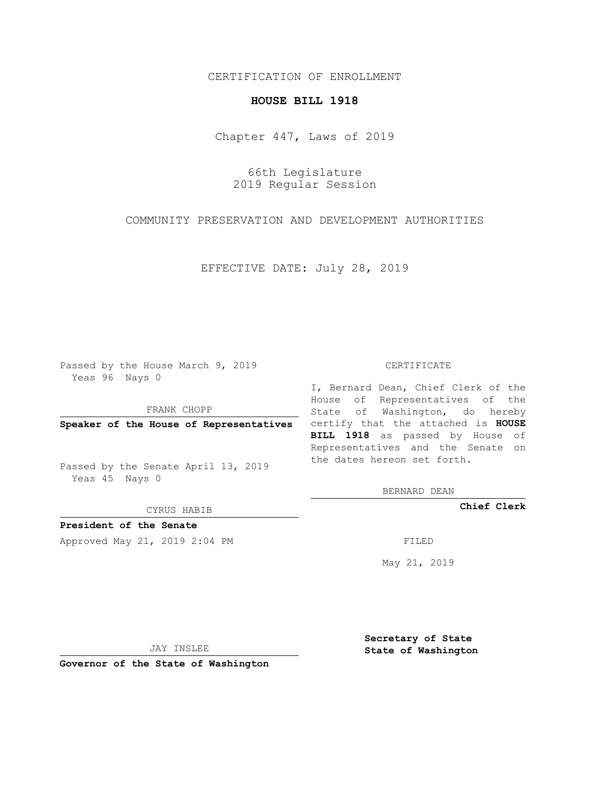## CERTIFICATION OF ENROLLMENT

### **HOUSE BILL 1918**

Chapter 447, Laws of 2019

66th Legislature 2019 Regular Session

COMMUNITY PRESERVATION AND DEVELOPMENT AUTHORITIES

EFFECTIVE DATE: July 28, 2019

Passed by the House March 9, 2019 Yeas 96 Nays 0

FRANK CHOPP

Passed by the Senate April 13, 2019 Yeas 45 Nays 0

CYRUS HABIB

**President of the Senate**

Approved May 21, 2019 2:04 PM FILED

#### CERTIFICATE

**Speaker of the House of Representatives** certify that the attached is **HOUSE** I, Bernard Dean, Chief Clerk of the House of Representatives of the State of Washington, do hereby **BILL 1918** as passed by House of Representatives and the Senate on the dates hereon set forth.

BERNARD DEAN

**Chief Clerk**

May 21, 2019

JAY INSLEE

**Governor of the State of Washington**

**Secretary of State State of Washington**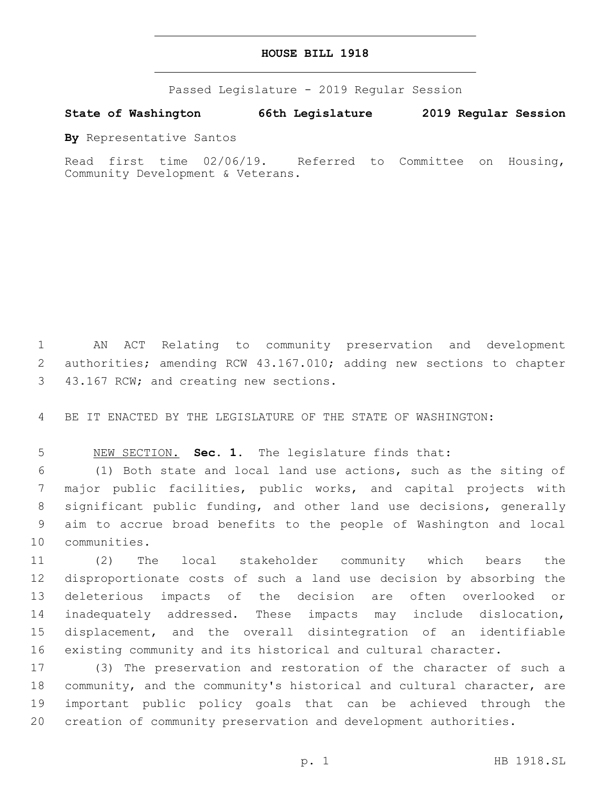### **HOUSE BILL 1918**

Passed Legislature - 2019 Regular Session

# **State of Washington 66th Legislature 2019 Regular Session**

**By** Representative Santos

Read first time 02/06/19. Referred to Committee on Housing, Community Development & Veterans.

 AN ACT Relating to community preservation and development authorities; amending RCW 43.167.010; adding new sections to chapter 3 43.167 RCW; and creating new sections.

BE IT ENACTED BY THE LEGISLATURE OF THE STATE OF WASHINGTON:

NEW SECTION. **Sec. 1.** The legislature finds that:

 (1) Both state and local land use actions, such as the siting of major public facilities, public works, and capital projects with significant public funding, and other land use decisions, generally aim to accrue broad benefits to the people of Washington and local 10 communities.

 (2) The local stakeholder community which bears the disproportionate costs of such a land use decision by absorbing the deleterious impacts of the decision are often overlooked or inadequately addressed. These impacts may include dislocation, displacement, and the overall disintegration of an identifiable existing community and its historical and cultural character.

 (3) The preservation and restoration of the character of such a community, and the community's historical and cultural character, are important public policy goals that can be achieved through the creation of community preservation and development authorities.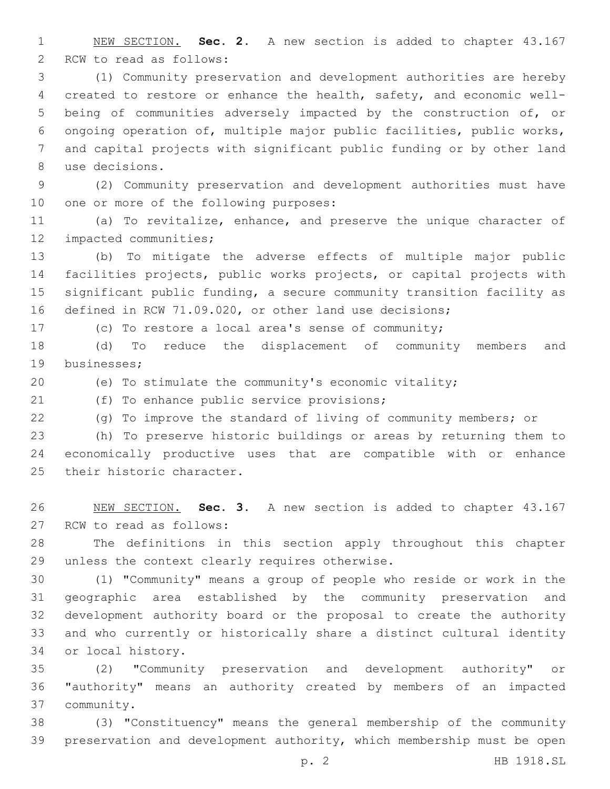NEW SECTION. **Sec. 2.** A new section is added to chapter 43.167 2 RCW to read as follows:

 (1) Community preservation and development authorities are hereby created to restore or enhance the health, safety, and economic well- being of communities adversely impacted by the construction of, or ongoing operation of, multiple major public facilities, public works, and capital projects with significant public funding or by other land use decisions.8

 (2) Community preservation and development authorities must have 10 one or more of the following purposes:

 (a) To revitalize, enhance, and preserve the unique character of 12 impacted communities;

 (b) To mitigate the adverse effects of multiple major public facilities projects, public works projects, or capital projects with significant public funding, a secure community transition facility as defined in RCW 71.09.020, or other land use decisions;

(c) To restore a local area's sense of community;

 (d) To reduce the displacement of community members and 19 businesses:

(e) To stimulate the community's economic vitality;

21 (f) To enhance public service provisions;

(g) To improve the standard of living of community members; or

 (h) To preserve historic buildings or areas by returning them to economically productive uses that are compatible with or enhance 25 their historic character.

 NEW SECTION. **Sec. 3.** A new section is added to chapter 43.167 27 RCW to read as follows:

 The definitions in this section apply throughout this chapter 29 unless the context clearly requires otherwise.

 (1) "Community" means a group of people who reside or work in the geographic area established by the community preservation and development authority board or the proposal to create the authority and who currently or historically share a distinct cultural identity 34 or local history.

 (2) "Community preservation and development authority" or "authority" means an authority created by members of an impacted community.37

 (3) "Constituency" means the general membership of the community preservation and development authority, which membership must be open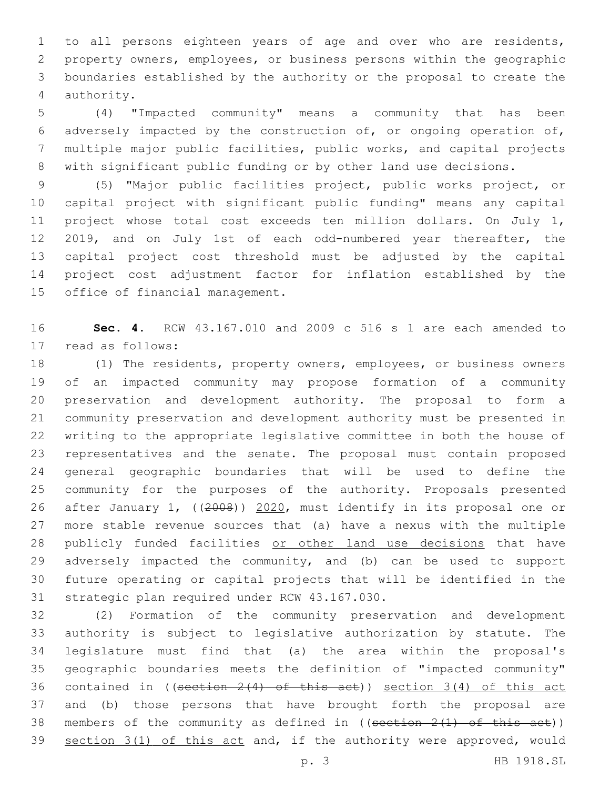to all persons eighteen years of age and over who are residents, property owners, employees, or business persons within the geographic boundaries established by the authority or the proposal to create the 4 authority.

 (4) "Impacted community" means a community that has been adversely impacted by the construction of, or ongoing operation of, multiple major public facilities, public works, and capital projects with significant public funding or by other land use decisions.

 (5) "Major public facilities project, public works project, or capital project with significant public funding" means any capital project whose total cost exceeds ten million dollars. On July 1, 2019, and on July 1st of each odd-numbered year thereafter, the capital project cost threshold must be adjusted by the capital project cost adjustment factor for inflation established by the 15 office of financial management.

 **Sec. 4.** RCW 43.167.010 and 2009 c 516 s 1 are each amended to 17 read as follows:

 (1) The residents, property owners, employees, or business owners of an impacted community may propose formation of a community preservation and development authority. The proposal to form a community preservation and development authority must be presented in writing to the appropriate legislative committee in both the house of representatives and the senate. The proposal must contain proposed general geographic boundaries that will be used to define the community for the purposes of the authority. Proposals presented after January 1, ((2008)) 2020, must identify in its proposal one or more stable revenue sources that (a) have a nexus with the multiple 28 publicly funded facilities or other land use decisions that have adversely impacted the community, and (b) can be used to support future operating or capital projects that will be identified in the 31 strategic plan required under RCW 43.167.030.

 (2) Formation of the community preservation and development authority is subject to legislative authorization by statute. The legislature must find that (a) the area within the proposal's geographic boundaries meets the definition of "impacted community" 36 contained in ((section  $2(4)$  of this act)) section  $3(4)$  of this act and (b) those persons that have brought forth the proposal are 38 members of the community as defined in ((section  $2(1)$  of this act)) 39 section 3(1) of this act and, if the authority were approved, would

p. 3 HB 1918.SL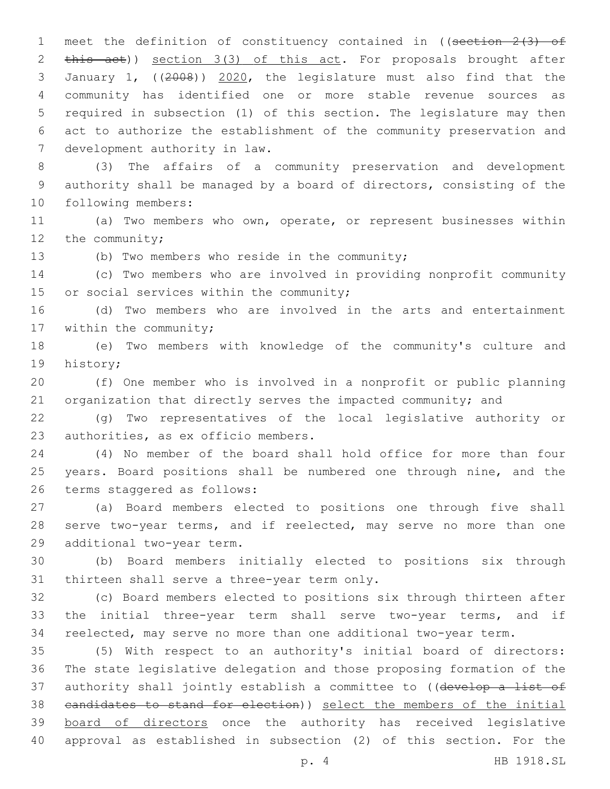1 meet the definition of constituency contained in ((section 2(3) of 2 this act)) section 3(3) of this act. For proposals brought after 3 January 1, ((2008)) 2020, the legislature must also find that the 4 community has identified one or more stable revenue sources as 5 required in subsection (1) of this section. The legislature may then 6 act to authorize the establishment of the community preservation and 7 development authority in law.

8 (3) The affairs of a community preservation and development 9 authority shall be managed by a board of directors, consisting of the 10 following members:

11 (a) Two members who own, operate, or represent businesses within 12 the community;

13 (b) Two members who reside in the community;

14 (c) Two members who are involved in providing nonprofit community 15 or social services within the community;

16 (d) Two members who are involved in the arts and entertainment 17 within the community;

18 (e) Two members with knowledge of the community's culture and 19 history;

20 (f) One member who is involved in a nonprofit or public planning 21 organization that directly serves the impacted community; and

22 (g) Two representatives of the local legislative authority or 23 authorities, as ex officio members.

24 (4) No member of the board shall hold office for more than four 25 years. Board positions shall be numbered one through nine, and the 26 terms staggered as follows:

27 (a) Board members elected to positions one through five shall 28 serve two-year terms, and if reelected, may serve no more than one 29 additional two-year term.

30 (b) Board members initially elected to positions six through 31 thirteen shall serve a three-year term only.

32 (c) Board members elected to positions six through thirteen after 33 the initial three-year term shall serve two-year terms, and if 34 reelected, may serve no more than one additional two-year term.

 (5) With respect to an authority's initial board of directors: The state legislative delegation and those proposing formation of the 37 authority shall jointly establish a committee to ((develop a list of candidates to stand for election)) select the members of the initial board of directors once the authority has received legislative approval as established in subsection (2) of this section. For the

p. 4 HB 1918.SL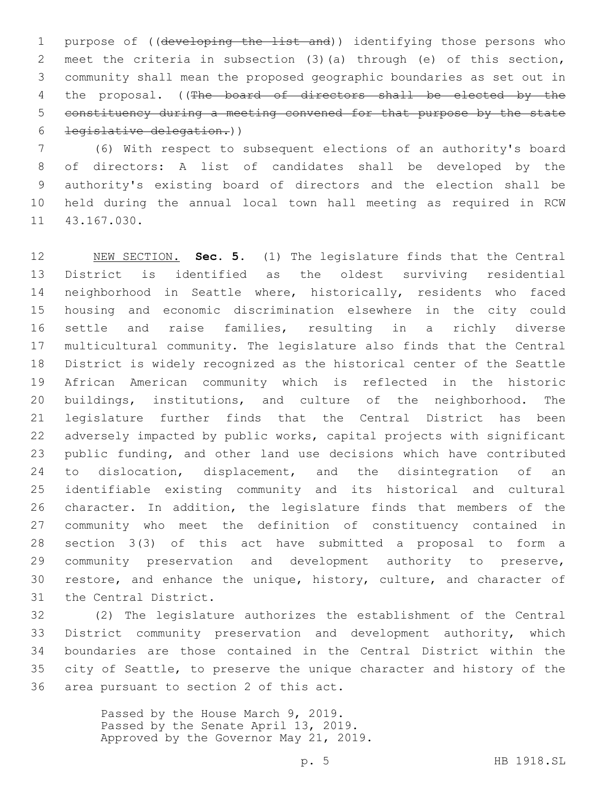1 purpose of ((developing the list and)) identifying those persons who meet the criteria in subsection (3)(a) through (e) of this section, community shall mean the proposed geographic boundaries as set out in 4 the proposal. ((The board of directors shall be elected by the constituency during a meeting convened for that purpose by the state legislative delegation.))

 (6) With respect to subsequent elections of an authority's board of directors: A list of candidates shall be developed by the authority's existing board of directors and the election shall be held during the annual local town hall meeting as required in RCW 11 43.167.030.

 NEW SECTION. **Sec. 5.** (1) The legislature finds that the Central District is identified as the oldest surviving residential neighborhood in Seattle where, historically, residents who faced housing and economic discrimination elsewhere in the city could settle and raise families, resulting in a richly diverse multicultural community. The legislature also finds that the Central District is widely recognized as the historical center of the Seattle African American community which is reflected in the historic buildings, institutions, and culture of the neighborhood. The legislature further finds that the Central District has been adversely impacted by public works, capital projects with significant public funding, and other land use decisions which have contributed 24 to dislocation, displacement, and the disintegration of an identifiable existing community and its historical and cultural character. In addition, the legislature finds that members of the community who meet the definition of constituency contained in section 3(3) of this act have submitted a proposal to form a community preservation and development authority to preserve, restore, and enhance the unique, history, culture, and character of the Central District.

 (2) The legislature authorizes the establishment of the Central District community preservation and development authority, which boundaries are those contained in the Central District within the city of Seattle, to preserve the unique character and history of the 36 area pursuant to section 2 of this act.

> Passed by the House March 9, 2019. Passed by the Senate April 13, 2019. Approved by the Governor May 21, 2019.